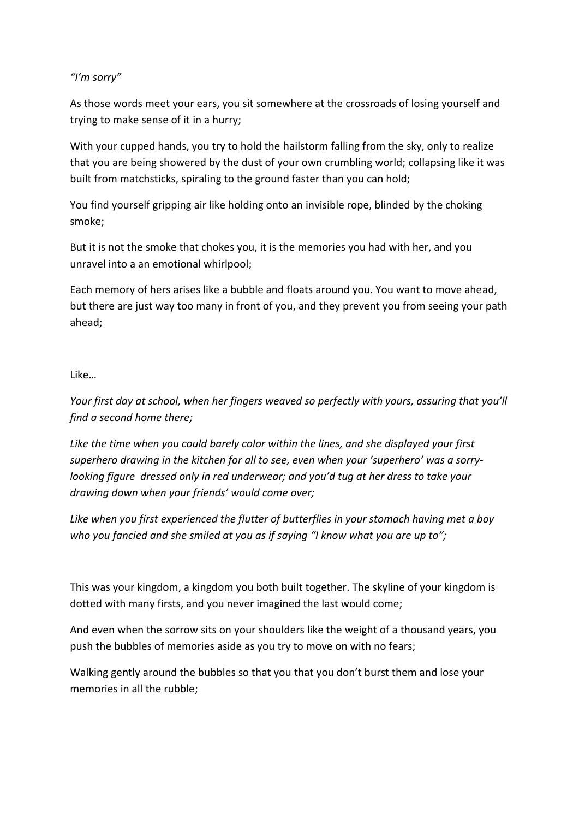## *"I'm sorry"*

As those words meet your ears, you sit somewhere at the crossroads of losing yourself and trying to make sense of it in a hurry;

With your cupped hands, you try to hold the hailstorm falling from the sky, only to realize that you are being showered by the dust of your own crumbling world; collapsing like it was built from matchsticks, spiraling to the ground faster than you can hold;

You find yourself gripping air like holding onto an invisible rope, blinded by the choking smoke;

But it is not the smoke that chokes you, it is the memories you had with her, and you unravel into a an emotional whirlpool;

Each memory of hers arises like a bubble and floats around you. You want to move ahead, but there are just way too many in front of you, and they prevent you from seeing your path ahead;

## Like…

*Your first day at school, when her fingers weaved so perfectly with yours, assuring that you'll find a second home there;*

*Like the time when you could barely color within the lines, and she displayed your first superhero drawing in the kitchen for all to see, even when your 'superhero' was a sorrylooking figure dressed only in red underwear; and you'd tug at her dress to take your drawing down when your friends' would come over;*

*Like when you first experienced the flutter of butterflies in your stomach having met a boy who you fancied and she smiled at you as if saying "I know what you are up to";*

This was your kingdom, a kingdom you both built together. The skyline of your kingdom is dotted with many firsts, and you never imagined the last would come;

And even when the sorrow sits on your shoulders like the weight of a thousand years, you push the bubbles of memories aside as you try to move on with no fears;

Walking gently around the bubbles so that you that you don't burst them and lose your memories in all the rubble;